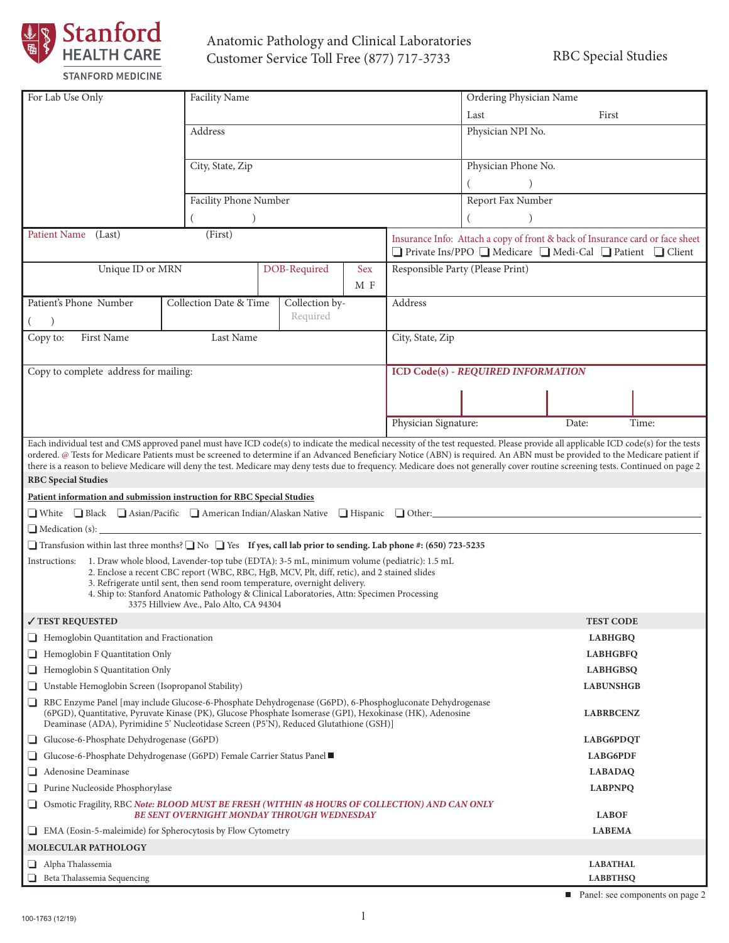

## Anatomic Pathology and Clinical Laboratories Customer Service Toll Free (877) 717-3733 RBC Special Studies

**STANFORD MEDICINE** 

| For Lab Use Only                                                                                                                                                                                                               | Facility Name                           |                                            | Ordering Physician Name |                                  |                                           |                                                                                                                                                                                                                                                                                                                                                                    |
|--------------------------------------------------------------------------------------------------------------------------------------------------------------------------------------------------------------------------------|-----------------------------------------|--------------------------------------------|-------------------------|----------------------------------|-------------------------------------------|--------------------------------------------------------------------------------------------------------------------------------------------------------------------------------------------------------------------------------------------------------------------------------------------------------------------------------------------------------------------|
|                                                                                                                                                                                                                                |                                         |                                            |                         |                                  | Last                                      | First                                                                                                                                                                                                                                                                                                                                                              |
|                                                                                                                                                                                                                                | Address                                 |                                            |                         |                                  | Physician NPI No.                         |                                                                                                                                                                                                                                                                                                                                                                    |
|                                                                                                                                                                                                                                |                                         |                                            |                         |                                  |                                           |                                                                                                                                                                                                                                                                                                                                                                    |
|                                                                                                                                                                                                                                | City, State, Zip                        |                                            |                         |                                  | Physician Phone No.                       |                                                                                                                                                                                                                                                                                                                                                                    |
|                                                                                                                                                                                                                                |                                         |                                            |                         |                                  |                                           |                                                                                                                                                                                                                                                                                                                                                                    |
|                                                                                                                                                                                                                                | Facility Phone Number                   |                                            |                         |                                  | Report Fax Number                         |                                                                                                                                                                                                                                                                                                                                                                    |
|                                                                                                                                                                                                                                |                                         |                                            |                         |                                  |                                           |                                                                                                                                                                                                                                                                                                                                                                    |
| Patient Name (Last)                                                                                                                                                                                                            | (First)                                 |                                            |                         |                                  |                                           | Insurance Info: Attach a copy of front & back of Insurance card or face sheet<br>Private Ins/PPO Medicare Medi-Cal Patient Client                                                                                                                                                                                                                                  |
| Unique ID or MRN                                                                                                                                                                                                               |                                         | DOB-Required<br><b>Sex</b>                 |                         | Responsible Party (Please Print) |                                           |                                                                                                                                                                                                                                                                                                                                                                    |
|                                                                                                                                                                                                                                |                                         |                                            | M F                     |                                  |                                           |                                                                                                                                                                                                                                                                                                                                                                    |
| Patient's Phone Number                                                                                                                                                                                                         | Collection Date & Time                  | Collection by-                             |                         | Address                          |                                           |                                                                                                                                                                                                                                                                                                                                                                    |
|                                                                                                                                                                                                                                |                                         | Required                                   |                         |                                  |                                           |                                                                                                                                                                                                                                                                                                                                                                    |
| First Name<br>Copy to:                                                                                                                                                                                                         | Last Name                               |                                            |                         | City, State, Zip                 |                                           |                                                                                                                                                                                                                                                                                                                                                                    |
|                                                                                                                                                                                                                                |                                         |                                            |                         |                                  |                                           |                                                                                                                                                                                                                                                                                                                                                                    |
| Copy to complete address for mailing:                                                                                                                                                                                          |                                         |                                            |                         |                                  | <b>ICD Code(s) - REQUIRED INFORMATION</b> |                                                                                                                                                                                                                                                                                                                                                                    |
|                                                                                                                                                                                                                                |                                         |                                            |                         |                                  |                                           |                                                                                                                                                                                                                                                                                                                                                                    |
|                                                                                                                                                                                                                                |                                         |                                            |                         |                                  |                                           |                                                                                                                                                                                                                                                                                                                                                                    |
|                                                                                                                                                                                                                                |                                         |                                            |                         | Physician Signature:             |                                           | Time:<br>Date:                                                                                                                                                                                                                                                                                                                                                     |
|                                                                                                                                                                                                                                |                                         |                                            |                         |                                  |                                           | Each individual test and CMS approved panel must have ICD code(s) to indicate the medical necessity of the test requested. Please provide all applicable ICD code(s) for the tests                                                                                                                                                                                 |
|                                                                                                                                                                                                                                |                                         |                                            |                         |                                  |                                           | ordered. @ Tests for Medicare Patients must be screened to determine if an Advanced Beneficiary Notice (ABN) is required. An ABN must be provided to the Medicare patient if<br>there is a reason to believe Medicare will deny the test. Medicare may deny tests due to frequency. Medicare does not generally cover routine screening tests. Continued on page 2 |
| <b>RBC Special Studies</b>                                                                                                                                                                                                     |                                         |                                            |                         |                                  |                                           |                                                                                                                                                                                                                                                                                                                                                                    |
| Patient information and submission instruction for RBC Special Studies                                                                                                                                                         |                                         |                                            |                         |                                  |                                           |                                                                                                                                                                                                                                                                                                                                                                    |
| ■ White ■ Black ■ Asian/Pacific ■ American Indian/Alaskan Native ■ Hispanic ■ Other:                                                                                                                                           |                                         |                                            |                         |                                  |                                           |                                                                                                                                                                                                                                                                                                                                                                    |
| Medication (s): Network Contains the Medication of the Medication of the Medication of the Medication of the Medication of the Medication of the Medication of the Medication of the Medication of the Medication of the Medic |                                         |                                            |                         |                                  |                                           |                                                                                                                                                                                                                                                                                                                                                                    |
| □ Transfusion within last three months? □ No □ Yes If yes, call lab prior to sending. Lab phone #: (650) 723-5235                                                                                                              |                                         |                                            |                         |                                  |                                           |                                                                                                                                                                                                                                                                                                                                                                    |
| 1. Draw whole blood, Lavender-top tube (EDTA): 3-5 mL, minimum volume (pediatric): 1.5 mL<br>Instructions:                                                                                                                     |                                         |                                            |                         |                                  |                                           |                                                                                                                                                                                                                                                                                                                                                                    |
| 2. Enclose a recent CBC report (WBC, RBC, HgB, MCV, Plt, diff, retic), and 2 stained slides<br>3. Refrigerate until sent, then send room temperature, overnight delivery.                                                      |                                         |                                            |                         |                                  |                                           |                                                                                                                                                                                                                                                                                                                                                                    |
| 4. Ship to: Stanford Anatomic Pathology & Clinical Laboratories, Attn: Specimen Processing                                                                                                                                     | 3375 Hillview Ave., Palo Alto, CA 94304 |                                            |                         |                                  |                                           |                                                                                                                                                                                                                                                                                                                                                                    |
| √ TEST REQUESTED                                                                                                                                                                                                               |                                         |                                            |                         |                                  |                                           | <b>TEST CODE</b>                                                                                                                                                                                                                                                                                                                                                   |
| Hemoglobin Quantitation and Fractionation                                                                                                                                                                                      |                                         |                                            |                         |                                  |                                           | <b>LABHGBQ</b>                                                                                                                                                                                                                                                                                                                                                     |
| Hemoglobin F Quantitation Only                                                                                                                                                                                                 |                                         |                                            |                         |                                  |                                           | <b>LABHGBFQ</b>                                                                                                                                                                                                                                                                                                                                                    |
| Hemoglobin S Quantitation Only                                                                                                                                                                                                 |                                         |                                            |                         |                                  |                                           | <b>LABHGBSQ</b>                                                                                                                                                                                                                                                                                                                                                    |
| Unstable Hemoglobin Screen (Isopropanol Stability)                                                                                                                                                                             |                                         |                                            |                         |                                  |                                           | <b>LABUNSHGB</b>                                                                                                                                                                                                                                                                                                                                                   |
| RBC Enzyme Panel [may include Glucose-6-Phosphate Dehydrogenase (G6PD), 6-Phosphogluconate Dehydrogenase                                                                                                                       |                                         |                                            |                         |                                  |                                           |                                                                                                                                                                                                                                                                                                                                                                    |
| (6PGD), Quantitative, Pyruvate Kinase (PK), Glucose Phosphate Isomerase (GPI), Hexokinase (HK), Adenosine<br>Deaminase (ADA), Pyrimidine 5' Nucleotidase Screen (P5'N), Reduced Glutathione (GSH)]                             |                                         |                                            |                         |                                  |                                           | <b>LABRBCENZ</b>                                                                                                                                                                                                                                                                                                                                                   |
| Glucose-6-Phosphate Dehydrogenase (G6PD)                                                                                                                                                                                       |                                         |                                            |                         |                                  |                                           | <b>LABG6PDQT</b>                                                                                                                                                                                                                                                                                                                                                   |
| Glucose-6-Phosphate Dehydrogenase (G6PD) Female Carrier Status Panel<br>┙                                                                                                                                                      |                                         |                                            |                         |                                  |                                           | LABG6PDF                                                                                                                                                                                                                                                                                                                                                           |
| Adenosine Deaminase                                                                                                                                                                                                            |                                         |                                            |                         |                                  |                                           | <b>LABADAQ</b>                                                                                                                                                                                                                                                                                                                                                     |
| Purine Nucleoside Phosphorylase                                                                                                                                                                                                |                                         |                                            |                         |                                  |                                           | <b>LABPNPQ</b>                                                                                                                                                                                                                                                                                                                                                     |
| ◯ Osmotic Fragility, RBC Note: BLOOD MUST BE FRESH (WITHIN 48 HOURS OF COLLECTION) AND CAN ONLY                                                                                                                                |                                         |                                            |                         |                                  |                                           |                                                                                                                                                                                                                                                                                                                                                                    |
|                                                                                                                                                                                                                                |                                         | BE SENT OVERNIGHT MONDAY THROUGH WEDNESDAY |                         |                                  |                                           | <b>LABOF</b>                                                                                                                                                                                                                                                                                                                                                       |
| EMA (Eosin-5-maleimide) for Spherocytosis by Flow Cytometry                                                                                                                                                                    |                                         |                                            |                         |                                  |                                           | <b>LABEMA</b>                                                                                                                                                                                                                                                                                                                                                      |
| MOLECULAR PATHOLOGY                                                                                                                                                                                                            |                                         |                                            |                         |                                  |                                           |                                                                                                                                                                                                                                                                                                                                                                    |
| Alpha Thalassemia                                                                                                                                                                                                              |                                         |                                            |                         |                                  |                                           |                                                                                                                                                                                                                                                                                                                                                                    |
| Beta Thalassemia Sequencing<br>ப                                                                                                                                                                                               |                                         |                                            |                         |                                  |                                           | <b>LABATHAL</b><br><b>LABBTHSQ</b>                                                                                                                                                                                                                                                                                                                                 |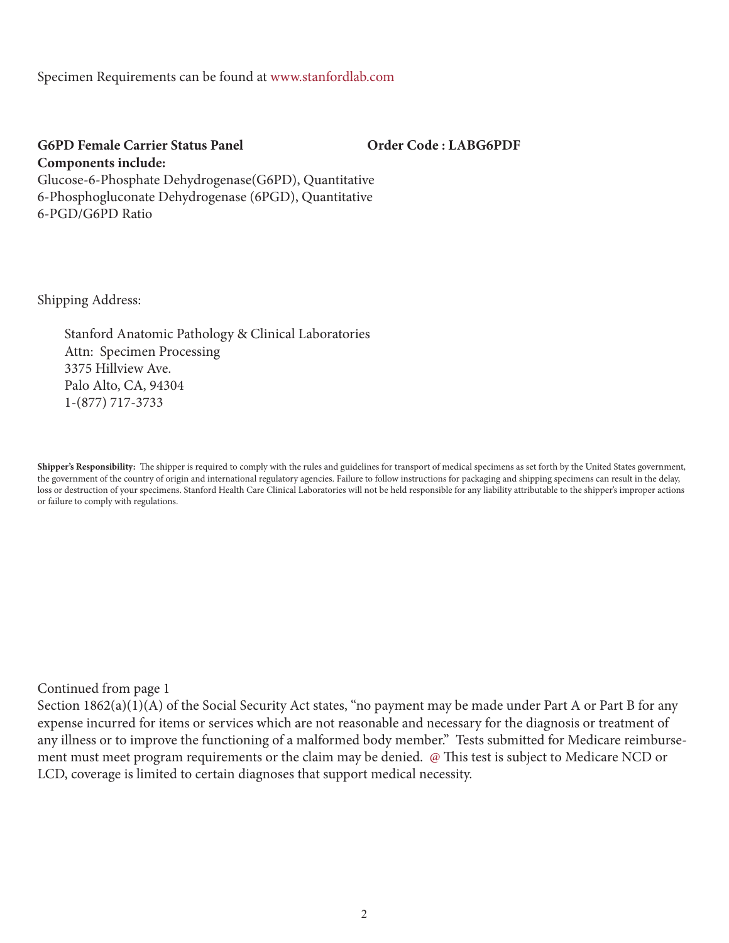Specimen Requirements can be found at www.stanfordlab.com

#### **G6PD Female Carrier Status Panel Order Code : LABG6PDF Components include:**

Glucose-6-Phosphate Dehydrogenase(G6PD), Quantitative 6-Phosphogluconate Dehydrogenase (6PGD), Quantitative 6-PGD/G6PD Ratio

Shipping Address:

 Stanford Anatomic Pathology & Clinical Laboratories Attn: Specimen Processing 3375 Hillview Ave. Palo Alto, CA, 94304 1-(877) 717-3733

Shipper's Responsibility: The shipper is required to comply with the rules and guidelines for transport of medical specimens as set forth by the United States government, the government of the country of origin and international regulatory agencies. Failure to follow instructions for packaging and shipping specimens can result in the delay, loss or destruction of your specimens. Stanford Health Care Clinical Laboratories will not be held responsible for any liability attributable to the shipper's improper actions or failure to comply with regulations.

#### Continued from page 1

Section 1862(a)(1)(A) of the Social Security Act states, "no payment may be made under Part A or Part B for any expense incurred for items or services which are not reasonable and necessary for the diagnosis or treatment of any illness or to improve the functioning of a malformed body member." Tests submitted for Medicare reimbursement must meet program requirements or the claim may be denied. @ This test is subject to Medicare NCD or LCD, coverage is limited to certain diagnoses that support medical necessity.